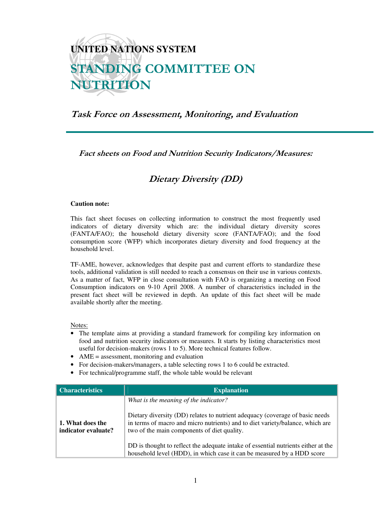## **UNITED NATIONS SYSTEM** STANDING COMMITTEE ON NUTRITION

## Task Force on Assessment, Monitoring, and Evaluation

Fact sheets on Food and Nutrition Security Indicators/Measures:

## Dietary Diversity (DD)

## **Caution note:**

This fact sheet focuses on collecting information to construct the most frequently used indicators of dietary diversity which are: the individual dietary diversity scores (FANTA/FAO); the household dietary diversity score (FANTA/FAO); and the food consumption score (WFP) which incorporates dietary diversity and food frequency at the household level.

TF-AME, however, acknowledges that despite past and current efforts to standardize these tools, additional validation is still needed to reach a consensus on their use in various contexts. As a matter of fact, WFP in close consultation with FAO is organizing a meeting on Food Consumption indicators on 9-10 April 2008. A number of characteristics included in the present fact sheet will be reviewed in depth. An update of this fact sheet will be made available shortly after the meeting.

Notes:

- The template aims at providing a standard framework for compiling key information on food and nutrition security indicators or measures. It starts by listing characteristics most useful for decision-makers (rows 1 to 5). More technical features follow.
- AME = assessment, monitoring and evaluation
- For decision-makers/managers, a table selecting rows 1 to 6 could be extracted.
- For technical/programme staff, the whole table would be relevant

| <b>Characteristics</b>                  | <b>Explanation</b>                                                                                                                                                                                                                                                                                                                         |
|-----------------------------------------|--------------------------------------------------------------------------------------------------------------------------------------------------------------------------------------------------------------------------------------------------------------------------------------------------------------------------------------------|
| 1. What does the<br>indicator evaluate? | What is the meaning of the indicator?<br>Dietary diversity (DD) relates to nutrient adequacy (coverage of basic needs<br>in terms of macro and micro nutrients) and to diet variety/balance, which are<br>two of the main components of diet quality.<br>DD is thought to reflect the adequate intake of essential nutrients either at the |
|                                         | household level (HDD), in which case it can be measured by a HDD score                                                                                                                                                                                                                                                                     |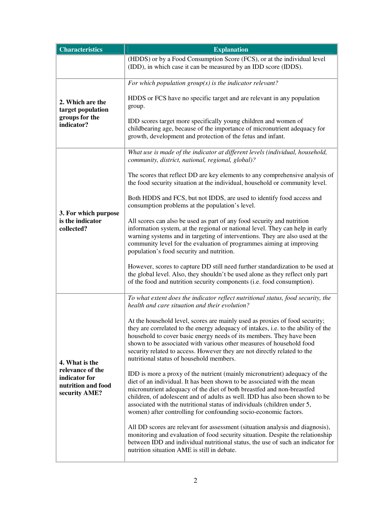| <b>Characteristics</b>                                                                     | <b>Explanation</b>                                                                                                                                                                                                                                                                                                                                                                                                                                              |
|--------------------------------------------------------------------------------------------|-----------------------------------------------------------------------------------------------------------------------------------------------------------------------------------------------------------------------------------------------------------------------------------------------------------------------------------------------------------------------------------------------------------------------------------------------------------------|
|                                                                                            | (HDDS) or by a Food Consumption Score (FCS), or at the individual level                                                                                                                                                                                                                                                                                                                                                                                         |
|                                                                                            | (IDD), in which case it can be measured by an IDD score (IDDS).                                                                                                                                                                                                                                                                                                                                                                                                 |
| 2. Which are the<br>target population<br>groups for the<br>indicator?                      | For which population $group(s)$ is the indicator relevant?                                                                                                                                                                                                                                                                                                                                                                                                      |
|                                                                                            | HDDS or FCS have no specific target and are relevant in any population<br>group.                                                                                                                                                                                                                                                                                                                                                                                |
|                                                                                            | IDD scores target more specifically young children and women of<br>childbearing age, because of the importance of micronutrient adequacy for<br>growth, development and protection of the fetus and infant.                                                                                                                                                                                                                                                     |
| 3. For which purpose<br>is the indicator<br>collected?                                     | What use is made of the indicator at different levels (individual, household,<br>community, district, national, regional, global)?                                                                                                                                                                                                                                                                                                                              |
|                                                                                            | The scores that reflect DD are key elements to any comprehensive analysis of<br>the food security situation at the individual, household or community level.                                                                                                                                                                                                                                                                                                    |
|                                                                                            | Both HDDS and FCS, but not IDDS, are used to identify food access and<br>consumption problems at the population's level.                                                                                                                                                                                                                                                                                                                                        |
|                                                                                            | All scores can also be used as part of any food security and nutrition<br>information system, at the regional or national level. They can help in early<br>warning systems and in targeting of interventions. They are also used at the<br>community level for the evaluation of programmes aiming at improving<br>population's food security and nutrition.                                                                                                    |
|                                                                                            | However, scores to capture DD still need further standardization to be used at<br>the global level. Also, they shouldn't be used alone as they reflect only part<br>of the food and nutrition security components (i.e. food consumption).                                                                                                                                                                                                                      |
| 4. What is the<br>relevance of the<br>indicator for<br>nutrition and food<br>security AME? | To what extent does the indicator reflect nutritional status, food security, the<br>health and care situation and their evolution?                                                                                                                                                                                                                                                                                                                              |
|                                                                                            | At the household level, scores are mainly used as proxies of food security;<br>they are correlated to the energy adequacy of intakes, i.e. to the ability of the<br>household to cover basic energy needs of its members. They have been<br>shown to be associated with various other measures of household food<br>security related to access. However they are not directly related to the<br>nutritional status of household members.                        |
|                                                                                            | IDD is more a proxy of the nutrient (mainly micronutrient) adequacy of the<br>diet of an individual. It has been shown to be associated with the mean<br>micronutrient adequacy of the diet of both breastfed and non-breastfed<br>children, of adolescent and of adults as well. IDD has also been shown to be<br>associated with the nutritional status of individuals (children under 5,<br>women) after controlling for confounding socio-economic factors. |
|                                                                                            | All DD scores are relevant for assessment (situation analysis and diagnosis),<br>monitoring and evaluation of food security situation. Despite the relationship<br>between IDD and individual nutritional status, the use of such an indicator for<br>nutrition situation AME is still in debate.                                                                                                                                                               |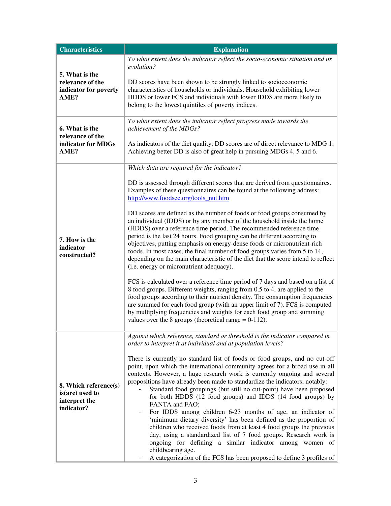| <b>Characteristics</b>                                                  | <b>Explanation</b>                                                                                                                                                                                                                                                                                                                                                                                                                                                                                                                                                                                                                                                                                                                                                                                                                                                                                                                                                                                                                                                                                                                                                                                                                                                                                                      |
|-------------------------------------------------------------------------|-------------------------------------------------------------------------------------------------------------------------------------------------------------------------------------------------------------------------------------------------------------------------------------------------------------------------------------------------------------------------------------------------------------------------------------------------------------------------------------------------------------------------------------------------------------------------------------------------------------------------------------------------------------------------------------------------------------------------------------------------------------------------------------------------------------------------------------------------------------------------------------------------------------------------------------------------------------------------------------------------------------------------------------------------------------------------------------------------------------------------------------------------------------------------------------------------------------------------------------------------------------------------------------------------------------------------|
| 5. What is the<br>relevance of the<br>indicator for poverty<br>AME?     | To what extent does the indicator reflect the socio-economic situation and its<br>evolution?<br>DD scores have been shown to be strongly linked to socioeconomic<br>characteristics of households or individuals. Household exhibiting lower<br>HDDS or lower FCS and individuals with lower IDDS are more likely to<br>belong to the lowest quintiles of poverty indices.                                                                                                                                                                                                                                                                                                                                                                                                                                                                                                                                                                                                                                                                                                                                                                                                                                                                                                                                              |
| 6. What is the<br>relevance of the<br>indicator for MDGs<br>AME?        | To what extent does the indicator reflect progress made towards the<br>achievement of the MDGs?<br>As indicators of the diet quality, DD scores are of direct relevance to MDG 1;<br>Achieving better DD is also of great help in pursuing MDGs 4, 5 and 6.                                                                                                                                                                                                                                                                                                                                                                                                                                                                                                                                                                                                                                                                                                                                                                                                                                                                                                                                                                                                                                                             |
| 7. How is the<br>indicator<br>constructed?                              | Which data are required for the indicator?<br>DD is assessed through different scores that are derived from questionnaires.<br>Examples of these questionnaires can be found at the following address:<br>http://www.foodsec.org/tools_nut.htm<br>DD scores are defined as the number of foods or food groups consumed by<br>an individual (IDDS) or by any member of the household inside the home<br>(HDDS) over a reference time period. The recommended reference time<br>period is the last 24 hours. Food grouping can be different according to<br>objectives, putting emphasis on energy-dense foods or micronutrient-rich<br>foods. In most cases, the final number of food groups varies from 5 to 14,<br>depending on the main characteristic of the diet that the score intend to reflect<br>(i.e. energy or micronutrient adequacy).<br>FCS is calculated over a reference time period of 7 days and based on a list of<br>8 food groups. Different weights, ranging from 0.5 to 4, are applied to the<br>food groups according to their nutrient density. The consumption frequencies<br>are summed for each food group (with an upper limit of 7). FCS is computed<br>by multiplying frequencies and weights for each food group and summing<br>values over the 8 groups (theoretical range $= 0-112$ ). |
| 8. Which reference(s)<br>is(are) used to<br>interpret the<br>indicator? | Against which reference, standard or threshold is the indicator compared in<br>order to interpret it at individual and at population levels?<br>There is currently no standard list of foods or food groups, and no cut-off<br>point, upon which the international community agrees for a broad use in all<br>contexts. However, a huge research work is currently ongoing and several<br>propositions have already been made to standardize the indicators; notably:<br>Standard food groupings (but still no cut-point) have been proposed<br>for both HDDS (12 food groups) and IDDS (14 food groups) by<br>FANTA and FAO;<br>For IDDS among children 6-23 months of age, an indicator of<br>'minimum dietary diversity' has been defined as the proportion of<br>children who received foods from at least 4 food groups the previous<br>day, using a standardized list of 7 food groups. Research work is<br>ongoing for defining a similar indicator among women of<br>childbearing age.<br>A categorization of the FCS has been proposed to define 3 profiles of                                                                                                                                                                                                                                                 |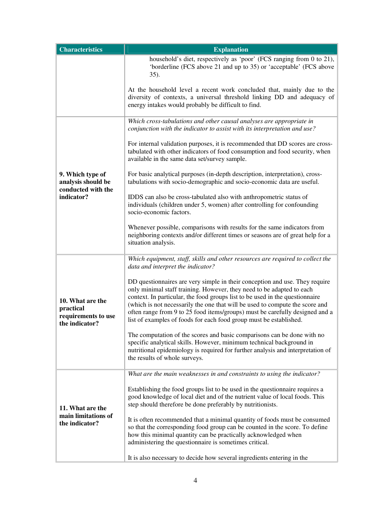| <b>Characteristics</b>                                                     | <b>Explanation</b>                                                                                                                                                                                                                                                                                                                                                                                                                                                         |
|----------------------------------------------------------------------------|----------------------------------------------------------------------------------------------------------------------------------------------------------------------------------------------------------------------------------------------------------------------------------------------------------------------------------------------------------------------------------------------------------------------------------------------------------------------------|
|                                                                            | household's diet, respectively as 'poor' (FCS ranging from 0 to 21),<br>'borderline (FCS above 21 and up to 35) or 'acceptable' (FCS above<br>35).                                                                                                                                                                                                                                                                                                                         |
|                                                                            | At the household level a recent work concluded that, mainly due to the<br>diversity of contexts, a universal threshold linking DD and adequacy of<br>energy intakes would probably be difficult to find.                                                                                                                                                                                                                                                                   |
| 9. Which type of<br>analysis should be<br>conducted with the<br>indicator? | Which cross-tabulations and other causal analyses are appropriate in<br>conjunction with the indicator to assist with its interpretation and use?                                                                                                                                                                                                                                                                                                                          |
|                                                                            | For internal validation purposes, it is recommended that DD scores are cross-<br>tabulated with other indicators of food consumption and food security, when<br>available in the same data set/survey sample.                                                                                                                                                                                                                                                              |
|                                                                            | For basic analytical purposes (in-depth description, interpretation), cross-<br>tabulations with socio-demographic and socio-economic data are useful.                                                                                                                                                                                                                                                                                                                     |
|                                                                            | IDDS can also be cross-tabulated also with anthropometric status of<br>individuals (children under 5, women) after controlling for confounding<br>socio-economic factors.                                                                                                                                                                                                                                                                                                  |
|                                                                            | Whenever possible, comparisons with results for the same indicators from<br>neighboring contexts and/or different times or seasons are of great help for a<br>situation analysis.                                                                                                                                                                                                                                                                                          |
| 10. What are the<br>practical<br>requirements to use<br>the indicator?     | Which equipment, staff, skills and other resources are required to collect the<br>data and interpret the indicator?                                                                                                                                                                                                                                                                                                                                                        |
|                                                                            | DD questionnaires are very simple in their conception and use. They require<br>only minimal staff training. However, they need to be adapted to each<br>context. In particular, the food groups list to be used in the questionnaire<br>(which is not necessarily the one that will be used to compute the score and<br>often range from 9 to 25 food items/groups) must be carefully designed and a<br>list of examples of foods for each food group must be established. |
|                                                                            | The computation of the scores and basic comparisons can be done with no<br>specific analytical skills. However, minimum technical background in<br>nutritional epidemiology is required for further analysis and interpretation of<br>the results of whole surveys.                                                                                                                                                                                                        |
|                                                                            | What are the main weaknesses in and constraints to using the indicator?                                                                                                                                                                                                                                                                                                                                                                                                    |
| 11. What are the<br>main limitations of<br>the indicator?                  | Establishing the food groups list to be used in the questionnaire requires a<br>good knowledge of local diet and of the nutrient value of local foods. This<br>step should therefore be done preferably by nutritionists.                                                                                                                                                                                                                                                  |
|                                                                            | It is often recommended that a minimal quantity of foods must be consumed<br>so that the corresponding food group can be counted in the score. To define<br>how this minimal quantity can be practically acknowledged when<br>administering the questionnaire is sometimes critical.                                                                                                                                                                                       |
|                                                                            | It is also necessary to decide how several ingredients entering in the                                                                                                                                                                                                                                                                                                                                                                                                     |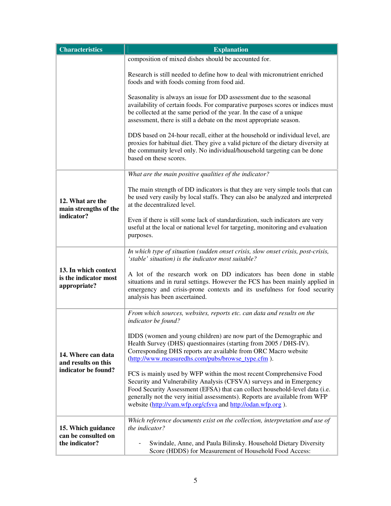| <b>Characteristics</b>                                           | <b>Explanation</b>                                                                                                                                                                                                                                                                                                                                                       |
|------------------------------------------------------------------|--------------------------------------------------------------------------------------------------------------------------------------------------------------------------------------------------------------------------------------------------------------------------------------------------------------------------------------------------------------------------|
|                                                                  | composition of mixed dishes should be accounted for.                                                                                                                                                                                                                                                                                                                     |
|                                                                  | Research is still needed to define how to deal with micronutrient enriched<br>foods and with foods coming from food aid.                                                                                                                                                                                                                                                 |
|                                                                  | Seasonality is always an issue for DD assessment due to the seasonal<br>availability of certain foods. For comparative purposes scores or indices must<br>be collected at the same period of the year. In the case of a unique<br>assessment, there is still a debate on the most appropriate season.                                                                    |
|                                                                  | DDS based on 24-hour recall, either at the household or individual level, are<br>proxies for habitual diet. They give a valid picture of the dietary diversity at<br>the community level only. No individual/household targeting can be done<br>based on these scores.                                                                                                   |
|                                                                  | What are the main positive qualities of the indicator?                                                                                                                                                                                                                                                                                                                   |
| 12. What are the<br>main strengths of the<br>indicator?          | The main strength of DD indicators is that they are very simple tools that can<br>be used very easily by local staffs. They can also be analyzed and interpreted<br>at the decentralized level.                                                                                                                                                                          |
|                                                                  | Even if there is still some lack of standardization, such indicators are very<br>useful at the local or national level for targeting, monitoring and evaluation<br>purposes.                                                                                                                                                                                             |
| 13. In which context<br>is the indicator most<br>appropriate?    | In which type of situation (sudden onset crisis, slow onset crisis, post-crisis,<br>'stable' situation) is the indicator most suitable?                                                                                                                                                                                                                                  |
|                                                                  | A lot of the research work on DD indicators has been done in stable<br>situations and in rural settings. However the FCS has been mainly applied in<br>emergency and crisis-prone contexts and its usefulness for food security<br>analysis has been ascertained.                                                                                                        |
| 14. Where can data<br>and results on this<br>indicator be found? | From which sources, websites, reports etc. can data and results on the<br>indicator be found?                                                                                                                                                                                                                                                                            |
|                                                                  | IDDS (women and young children) are now part of the Demographic and<br>Health Survey (DHS) questionnaires (starting from 2005 / DHS-IV).<br>Corresponding DHS reports are available from ORC Macro website<br>(http://www.measuredhs.com/pubs/browse_type.cfm).                                                                                                          |
|                                                                  | FCS is mainly used by WFP within the most recent Comprehensive Food<br>Security and Vulnerability Analysis (CFSVA) surveys and in Emergency<br>Food Security Assessment (EFSA) that can collect household-level data (i.e.<br>generally not the very initial assessments). Reports are available from WFP<br>website (http://vam.wfp.org/cfsva and http://odan.wfp.org). |
| 15. Which guidance<br>can be consulted on<br>the indicator?      | Which reference documents exist on the collection, interpretation and use of<br>the indicator?                                                                                                                                                                                                                                                                           |
|                                                                  | Swindale, Anne, and Paula Bilinsky. Household Dietary Diversity<br>Score (HDDS) for Measurement of Household Food Access:                                                                                                                                                                                                                                                |